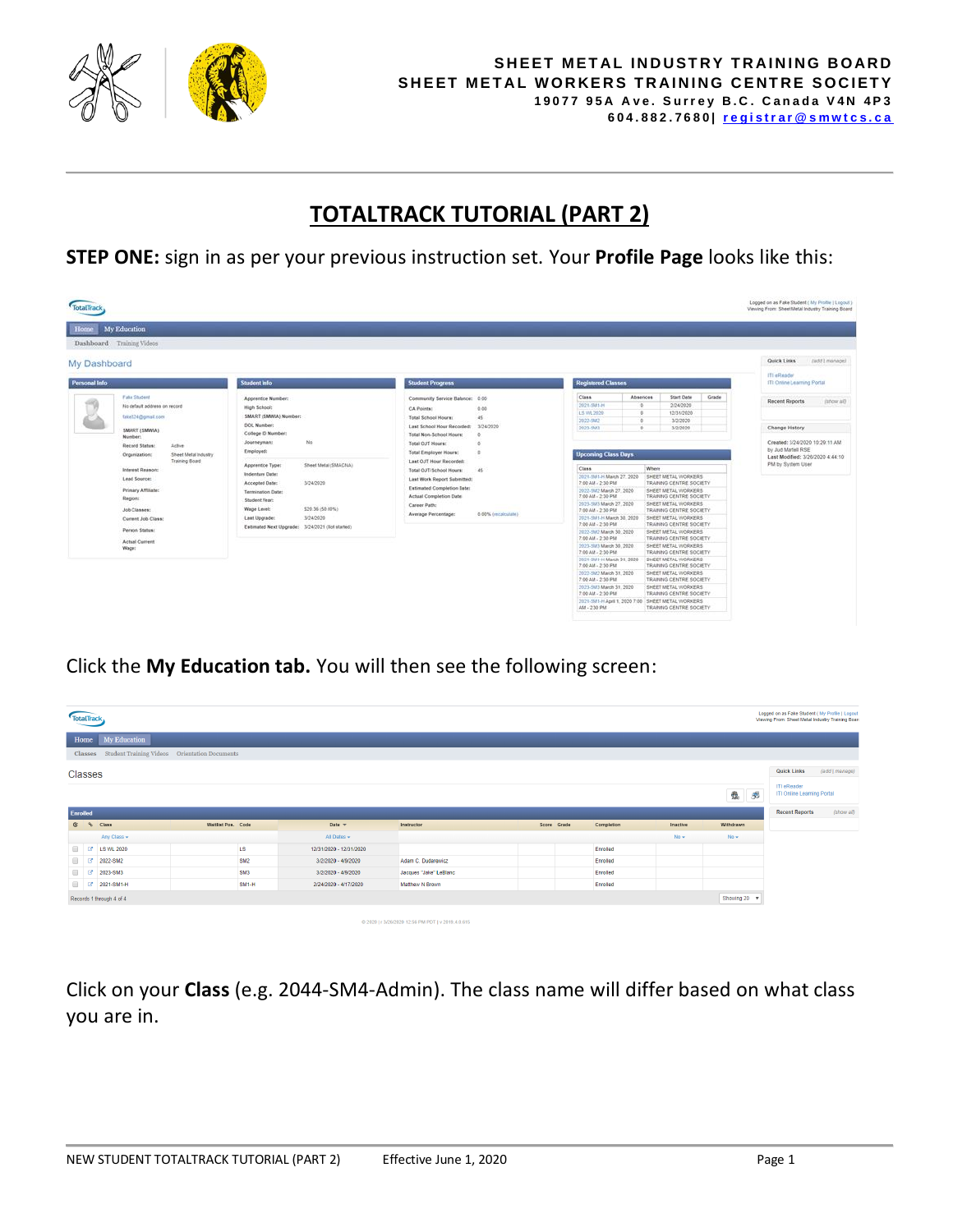

## **TOTALTRACK TUTORIAL (PART 2)**

**STEP ONE:** sign in as per your previous instruction set. Your **Profile Page** looks like this:

| Logged on as Fake Student ( My Profile   Logoul )<br><b>Total Track</b><br>Viewing From: Sheet Metal Industry Training Board<br>My Education<br>Home<br>Dashboard Training Videos<br>Quick Links<br>(add) manage)<br>My Dashboard |                                                                                                                                                                                                                |                                                                                                                                                                                                                                         |                                                                                                                                                                                                                                                                                                                                                                                                                                                                                                                                                                                                            |                                                                                         |  |  |  |  |
|-----------------------------------------------------------------------------------------------------------------------------------------------------------------------------------------------------------------------------------|----------------------------------------------------------------------------------------------------------------------------------------------------------------------------------------------------------------|-----------------------------------------------------------------------------------------------------------------------------------------------------------------------------------------------------------------------------------------|------------------------------------------------------------------------------------------------------------------------------------------------------------------------------------------------------------------------------------------------------------------------------------------------------------------------------------------------------------------------------------------------------------------------------------------------------------------------------------------------------------------------------------------------------------------------------------------------------------|-----------------------------------------------------------------------------------------|--|--|--|--|
| <b>Personal Info</b>                                                                                                                                                                                                              | <b>Student Info</b>                                                                                                                                                                                            | <b>Student Progress</b>                                                                                                                                                                                                                 | <b>Registered Classes</b>                                                                                                                                                                                                                                                                                                                                                                                                                                                                                                                                                                                  | ITI «Reader<br>ITI Online Learning Portal                                               |  |  |  |  |
| <b>Fake Student</b><br>No default address on record<br>Gike324@gmail.com<br>SMART (SMWIA)<br>Number:<br>Record Status:<br><b>Active</b>                                                                                           | Apprentice Number:<br>High School:<br>SMART (SMWA) Number:<br>DOL Number:<br>College ID Wumber:<br>No<br>Journeyman:                                                                                           | Community Service Balance: 0.00<br>0.00<br><b>CA Points:</b><br>45<br>Total School Hours:<br>3/24/2020<br>Last School Hour Recorded:<br>Total Non-School Hours:<br>Total OJT Hours:                                                     | Class.<br>Absences<br>Start Date<br>Grade<br>2/24/2020<br>2021-5881-H<br>$\circ$<br>12/31/2020<br>L5 WL 2020<br>n<br>2022-5882<br>3/2/2020<br>3/2/2020<br>2023-5M3<br>v.                                                                                                                                                                                                                                                                                                                                                                                                                                   | <b>Recent Reports</b><br>(show ail)<br>Change History<br>Created: 3/24/2020 10:29:11 AM |  |  |  |  |
| Sheet Metal Industry<br>Organization:<br>Training Board<br>Interest Reason:<br>Lead Source:<br>Primary Affiliate:<br>Region:<br>Job Classes:<br>Corrent Job Class:                                                                | Employed:<br>Apprentice Type:<br>Sheet Metal (SMACNA)<br>Indenture Date:<br>Accepted Date:<br>3/24/2020<br>Termination Date:<br>Student Year:<br>\$20.36 (50.00%)<br>Wage Level:<br>3/24/2020<br>Last Upgrade: | Total Employer Hours:<br>Last OJT Hour Recorded:<br>Total OJT/School Hours:<br>45<br>Last Work Report Submitted:<br>Estimated Completion Date:<br>Actual Completion Date:<br>Career Path:<br>Average Percentage:<br>0.00% (recalculate) | <b>Upcoming Class Days</b><br>Class<br>Where<br>2021-5M1-H Malch 27, 2020<br><b>SHEET METAL WORKERS</b><br>7:00 AM - 2:30 PM<br>TRAINING CENTRE SOCIETY<br>2022-5M2 March 27, 2020<br>SHEET METAL WORKERS<br>7:00 AM - 2:30 PM<br>TRAINING CENTRE SOCIETY<br>2023-58/5 March 27, 2020<br>SHEET METAL WORKERS<br>7:00 AM - 2:30 PM<br>TRAINING CENTRE SOCIETY<br>SHEET METAL WORKERS<br>2021-SM1-H March 30, 2020<br>7:00 AM - 2:30 PM<br>TRAINING CENTRE SOCIETY                                                                                                                                           | by Jud Martell RSE<br>Last Modified: 3/26/2020 4:44:10<br>PM by System User             |  |  |  |  |
| Person Status:<br><b>Actual Current</b><br>Wage:                                                                                                                                                                                  | Estimated Next Upgrade: 3/24/2021 (Not started)                                                                                                                                                                |                                                                                                                                                                                                                                         | 2022-5M2 March 30, 2020<br>SHEET METAL WORKERS<br>7:00 AM - 2:30 PM<br>TRAINING CENTRE SOCIETY<br>SHEET METAL WORKERS<br>2023-59/3 March 30, 2020<br>7:00 AM - 2:30 PM<br>TRAINING CENTRE SOCIETY<br>2021-SM1-H March 31, 2020<br>SHEET METAL VIORKERS<br>7:00 AM - 2:35 PM<br>TRAINING CENTRE SOCIETY<br>2022-5M2 March 31, 2020<br>SHEET METAL WORKERS<br>7:00 AM - 2:35 PM<br>TRAINING CENTRE SOCIETY<br>2023-SM3 March 31, 2020<br>SHEET METAL WORKERS<br>7:00 AM - 2:30 PM<br>TRAINING CENTRE SOCIETY<br>2021-5M1-H April 1, 2020 7:00 SHEET METAL WORKERS<br>AM - 2:30 PM<br>TRAINING CENTRE SOCIETY |                                                                                         |  |  |  |  |

Click the **My Education tab.** You will then see the following screen:

| <b>TotalTrack</b> |         |                                                |                    |                 |                         |                                                    |  |             |            |          | Logged on as Fake Student (My Profile   Logout<br>Viewing From: Sheet Metal Industry Training Board |                                                     |            |
|-------------------|---------|------------------------------------------------|--------------------|-----------------|-------------------------|----------------------------------------------------|--|-------------|------------|----------|-----------------------------------------------------------------------------------------------------|-----------------------------------------------------|------------|
|                   | Home    | My Education                                   |                    |                 |                         |                                                    |  |             |            |          |                                                                                                     |                                                     |            |
|                   | Classes | Student Training Videos  Orientation Documents |                    |                 |                         |                                                    |  |             |            |          |                                                                                                     |                                                     |            |
| Classes           |         |                                                |                    |                 |                         |                                                    |  |             |            |          | <b>Quick Links</b><br>ITI eReader                                                                   | (add   manage)                                      |            |
|                   |         |                                                |                    |                 |                         |                                                    |  |             |            |          | 33<br>鼎                                                                                             | ITI Online Learning Portal<br><b>Recent Reports</b> | (show all) |
| Enrolled          |         | C & Class                                      | Waitlist Pos. Code |                 | Date $\sqrt{ }$         | Instructor                                         |  | Score Grade | Completion | Inactive | Withdrawn                                                                                           |                                                     |            |
|                   |         | Any Class -                                    |                    |                 | All Dates $\sim$        |                                                    |  |             |            | $No -$   | $No -$                                                                                              |                                                     |            |
| $\Box$ $\Box$     |         | <b>LS WL 2020</b>                              |                    | LS              | 12/31/2020 - 12/31/2020 |                                                    |  |             | Enrolled   |          |                                                                                                     |                                                     |            |
| $\Box$ $\Box$     |         | 2022-SM2                                       |                    | SM <sub>2</sub> | 3/2/2020 - 4/9/2020     | Adam C. Dudarewicz                                 |  |             | Enrolled   |          |                                                                                                     |                                                     |            |
| $\Box$ $\Box$     |         | 2023-SM3                                       |                    | SM <sub>3</sub> | 3/2/2020 - 4/9/2020     | Jacques "Jake" LeBlanc                             |  |             | Enrolled   |          |                                                                                                     |                                                     |            |
|                   |         | 2021-SM1-H                                     |                    | $SM1-H$         | 2/24/2020 - 4/17/2020   | Matthew N Brown                                    |  |             | Enrolled   |          |                                                                                                     |                                                     |            |
|                   |         | Records 1 through 4 of 4                       |                    |                 |                         |                                                    |  |             |            |          | Showing 20 v                                                                                        |                                                     |            |
|                   |         |                                                |                    |                 |                         | @ 2020   r 3/26/2020 12:56 PM PDT   v 2019.4.0.615 |  |             |            |          |                                                                                                     |                                                     |            |

Click on your **Class** (e.g. 2044-SM4-Admin). The class name will differ based on what class you are in.